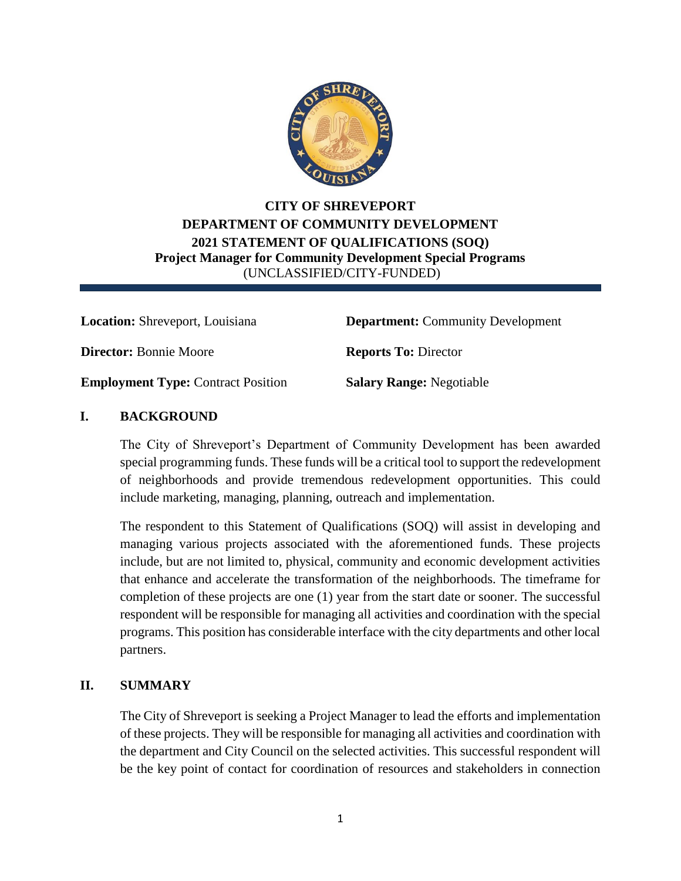

# **CITY OF SHREVEPORT DEPARTMENT OF COMMUNITY DEVELOPMENT 2021 STATEMENT OF QUALIFICATIONS (SOQ) Project Manager for Community Development Special Programs** (UNCLASSIFIED/CITY-FUNDED)

**Director:** Bonnie Moore **Reports To:** Director

**Location:** Shreveport, Louisiana **Department:** Community Development

**Employment Type:** Contract Position **Salary Range:** Negotiable

### **I. BACKGROUND**

The City of Shreveport's Department of Community Development has been awarded special programming funds. These funds will be a critical tool to support the redevelopment of neighborhoods and provide tremendous redevelopment opportunities. This could include marketing, managing, planning, outreach and implementation.

The respondent to this Statement of Qualifications (SOQ) will assist in developing and managing various projects associated with the aforementioned funds. These projects include, but are not limited to, physical, community and economic development activities that enhance and accelerate the transformation of the neighborhoods. The timeframe for completion of these projects are one (1) year from the start date or sooner. The successful respondent will be responsible for managing all activities and coordination with the special programs. This position has considerable interface with the city departments and other local partners.

### **II. SUMMARY**

The City of Shreveport is seeking a Project Manager to lead the efforts and implementation of these projects. They will be responsible for managing all activities and coordination with the department and City Council on the selected activities. This successful respondent will be the key point of contact for coordination of resources and stakeholders in connection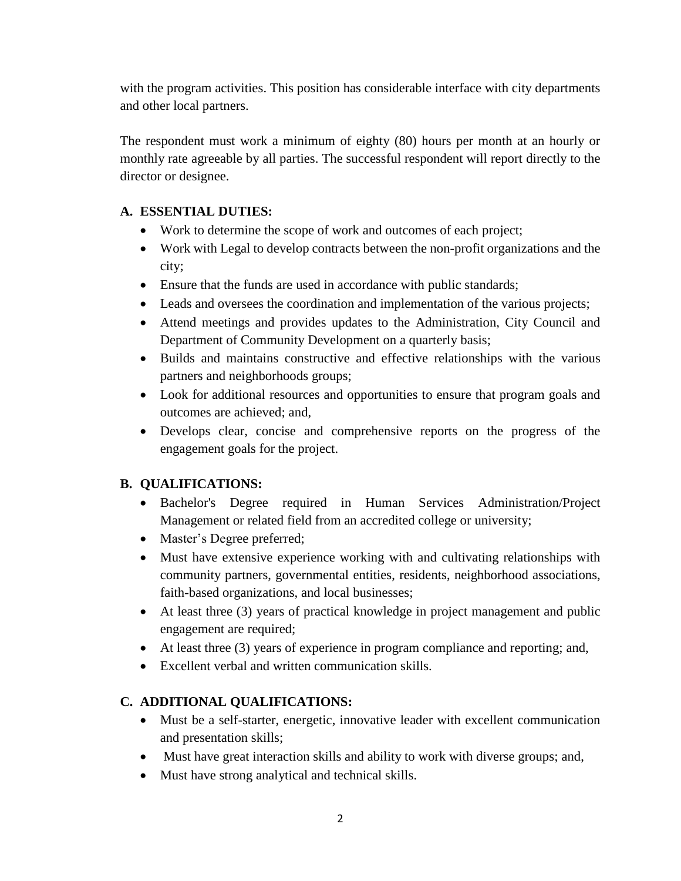with the program activities. This position has considerable interface with city departments and other local partners.

The respondent must work a minimum of eighty (80) hours per month at an hourly or monthly rate agreeable by all parties. The successful respondent will report directly to the director or designee.

## **A. ESSENTIAL DUTIES:**

- Work to determine the scope of work and outcomes of each project;
- Work with Legal to develop contracts between the non-profit organizations and the city;
- Ensure that the funds are used in accordance with public standards;
- Leads and oversees the coordination and implementation of the various projects;
- Attend meetings and provides updates to the Administration, City Council and Department of Community Development on a quarterly basis;
- Builds and maintains constructive and effective relationships with the various partners and neighborhoods groups;
- Look for additional resources and opportunities to ensure that program goals and outcomes are achieved; and,
- Develops clear, concise and comprehensive reports on the progress of the engagement goals for the project.

## **B. QUALIFICATIONS:**

- Bachelor's Degree required in Human Services Administration/Project Management or related field from an accredited college or university;
- Master's Degree preferred;
- Must have extensive experience working with and cultivating relationships with community partners, governmental entities, residents, neighborhood associations, faith-based organizations, and local businesses;
- At least three (3) years of practical knowledge in project management and public engagement are required;
- At least three (3) years of experience in program compliance and reporting; and,
- Excellent verbal and written communication skills.

## **C. ADDITIONAL QUALIFICATIONS:**

- Must be a self-starter, energetic, innovative leader with excellent communication and presentation skills;
- Must have great interaction skills and ability to work with diverse groups; and,
- Must have strong analytical and technical skills.